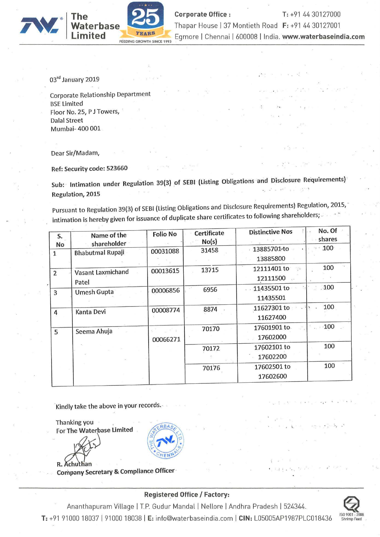

**Corporate Office : T: +91 44 30127000**<br>Thapar House | 37 Montieth Road F: +91 44 30127001 Waterbase Thapar House | 37 Montieth Road F: +91 44 30127001 Egmore | Chennai | 600008 | India. www.waterbaseindia.com

03rd January 2019

Corporate Relationship Department BSE Limited Floor No.25, <sup>P</sup> <sup>J</sup> Towers, Dalal Street Mumbai— 400 001

The Waterbase 25

FEEDING GROWTH SINCE 1993

Dear Sir/Madam,

Ref: Security code: 523660

Sub: lntimation under Regulation 39(3) of SEBI (Listing Obligations and Disclosure Requirements) ' ' Regulation, 2015

Pursuant to Regulation 39(3) of SEBl (Listing Obligations and Disclosure Requirements) Regulation, 2015,' intimation is hereby given for issuance of duplicate share certificates to following shareholders;

| S.<br>No       | Name of the<br>shareholder | <b>Folio No</b> | <b>Certificate</b><br>No(s) | <b>Distinctive Nos</b>                                   | No. Of<br>shares  |
|----------------|----------------------------|-----------------|-----------------------------|----------------------------------------------------------|-------------------|
| 1              | <b>Bhabutmal Rupaji</b>    | 00031088        | 31458                       | 13885701·to<br>13885800                                  | $\cdot \cdot 100$ |
| $\overline{2}$ | Vasant Laxmichand<br>Patel | 00013615        | 13715                       | 12111401 to<br>$\mathcal{L}_{\mathcal{A}}$ .<br>12111500 | 100               |
| 3              | <b>Umesh Gupta</b>         | 00006856        | 6956                        | 11435501 to<br>11435501                                  | 100               |
| 4              | Kanta Devi                 | 00008774        | 8874                        | 11627301 to<br>11627400                                  | 100               |
| 5              | Seema Ahuja                | 00066271        | 70170                       | 17601901 to<br>17602000                                  | $-100$            |
|                |                            |                 | 70172                       | 17602101 to<br>17602200                                  | 100               |
|                |                            |                 | 70176                       | 17602501 to<br>17602600                                  | 100               |

Kindly take the above in your records.~

Thanking you \_ For The Waterbase Limited

R. Achu

Company Secretary & Compliance Officer

## Registered Office / Factory:

Ananthapuram Village | T.P. Gudur Mandal | Nellore | Andhra Pradesh | 524344. T: +91 91000 18037 | 91000 18038 | E: info@waterbaseindia.com | CIN: L05005AP1987PLC018436 'Shrimp Feed